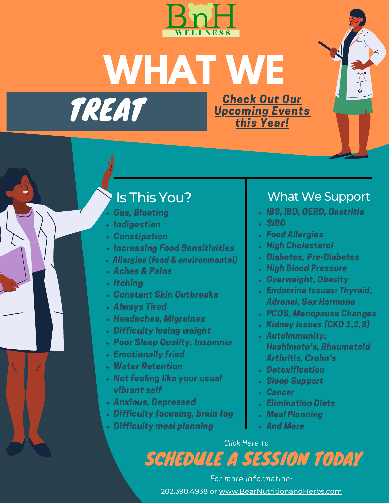

**WHAT WE**

TREAT

Check Out Our [Upcoming](https://www.bearnutritionandherbs.com/events-and-activities) Events this Year!

# Is This You?

- Gas, Bloating
- **· Indigestion**
- Constipation
- Increasing Food Sensitivities
- Allergies (food & environmental)
- Aches & Pains
- Itching
- Constant Skin Outbreaks
- Always Tired
- Headaches, Migraines
- Difficulty losing weight
- Poor Sleep Quality, Insomnia
- Emotionally fried
- Water Retention
- Not feeling like your usual vibrant self
- Anxious, Depressed
- Difficulty focusing, brain fog
- Difficulty meal planning

# What We Support

- IBS, IBD, GERD, Gastritis
- SIBO
- Food Allergies
- **.** High Cholesterol
- Diabetes, Pre-Diabetes
- **High Blood Pressure**
- Overweight, Obesity
- Endocrine Issues: Thyroid, Adrenal, Sex Hormone
- PCOS, Menopause Changes
- Kidney Issues (CKD 1,2,3)
- Autoimmunity: Hashimoto's, Rheumatoid Arthritis, Crohn's
- **Detoxification**
- Sleep Support
- Cancer
- Elimination Diets
- Meal Planning
- **And More**

#### [Click](https://secure.gethealthie.com/appointments/embed_appt?dietitian_id=1107929) Here To

# [SCHEDULE](https://secure.gethealthie.com/appointments/embed_appt?dietitian_id=1107929) A SESSION TODA[Y](https://secure.gethealthie.com/appointments/embed_appt?dietitian_id=1107929)

202.390.4938 or [www.BearNutritionandHerbs.com](http://www.bearnutritionandherbs.com/) For more information: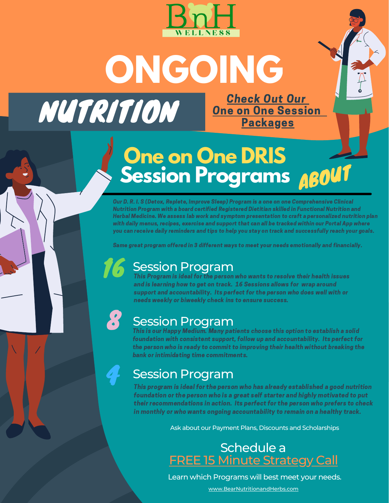

**ONGOING** NUTRITION [Check](https://www.bearnutritionandherbs.com/dris-classic-program) Out Our **[On](https://www.bearnutritionandherbs.com/dris-classic-program)e on One [Session](https://www.bearnutritionandherbs.com/dris-classic-program) [Packages](https://www.bearnutritionandherbs.com/dris-classic-program)** 

# **One on One DRIS Session Programs** ABOUT

Our D. R. I. S (Detox, Replete, Improve Sleep) Program is a one on one Comprehensive Clinical Nutrition Program with a board certified Registered Dietitian skilled in Functional Nutrition and Herbal Medicine. We assess lab work and symptom presentation to craft a personalized nutrition plan with daily menus, recipes, exercise and support that can all be tracked within our Portal App where you can receive daily reminders and tips to help you stay on track and successfully reach your goals.

Same great program offered in 3 different ways to meet your needs emotionally and financially.

**16** Session Program<br>This Program is ideal for the person who wants to resolve their health issues and is learning how to get on track. 16 Sessions allows for wrap around support and accountability. Its perfect for the person who does well with or needs weekly or biweekly check ins to ensure success.

## **Session Program**

This is our Happy Medium. Many patients choose this option to establish a solid foundation with consistent support, follow up and accountability. Its perfect for the person who is ready to commit to improving their health without breaking the bank or intimidating time commitments.

# **Session Program**

This program is ideal for the person who has already established a good nutrition foundation or the person who is a great self starter and highly motivated to put their recommendations in action. Its perfect for the person who prefers to check in monthly or who wants ongoing accountability to remain on a healthy track.

Ask about our Payment Plans, Discounts and Scholarships

Schedule a FREE 15 Minute [Strategy](https://go.oncehub.com/NjeriJarvis) Call

Learn which Programs will best meet your needs.

[www.BearNutritionandHerbs.com](http://www.bearnutritionandherbs.com/)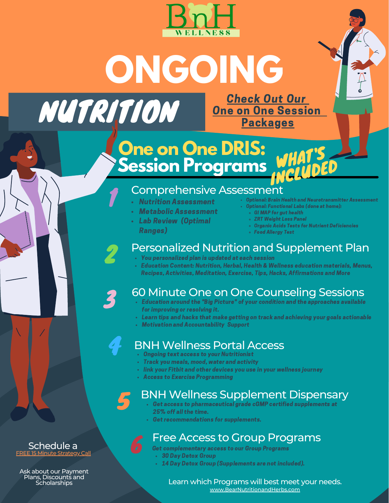



#### **One on One DRIS: Session Programs** WHAT'S INCLUDED

#### Comprehensive Assessment

- Nutrition Assessment
- Metabolic Assessment
- Lab Review (Optimal
- Ranges)

1

3

2

4

5

- Optional: Brain Health and Neurotransmitter Assessment Optional: Functional Labs (done at home):
	- GI MAP for gut health
	- ZRT Weight Loss Panel
	- Organic Acids Tests for Nutrient Deficiencies
	- Food Allergy Test

#### Personalized Nutrition and Supplement Plan

- You personalized plan is updated at each session
- Education Content: Nutrition, Herbal, Health & Wellness education materials, Menus, Recipes, Activities, Meditation, Exercise, Tips, Hacks, Affirmations and More

### 60 Minute One on One Counseling Sessions

- Education around the "Big Picture" of your condition and the approaches available for improving or resolving it.
- Learn tips and hacks that make getting on track and achieving your goals actionable
- Motivation and Accountability Support

#### BNH Wellness Portal Access

- Ongoing text access to your Nutritionist
- Track you meals, mood, water and activity  $\bullet^+$
- link your Fitbit and other devices you use in your wellness journey
- Access to Exercise Programming

#### BNH Wellness Supplement Dispensary

- Get access to pharmaceutical grade cGMP certified supplements at 25% off all the time.
	- Get recommendations for supplements.

#### Free Access to Group Programs

- 6 Get complementary access to our Group Programs
- 30 Day Detox Group
- 14 Day Detox Group (Supplements are not included).

#### [www.BearNutritionandHerbs.com](http://www.bearnutritionandherbs.com/) Learn which Programs will best meet your needs.

#### Schedule a **15 Minute [Strategy](https://go.oncehub.com/NjeriJarvis) Call**

Ask about our Payment Plans, Discounts and Scholarships